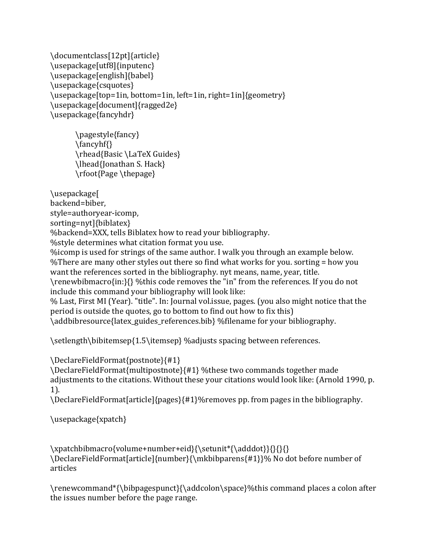```
\documentclass[12pt]{article}
\usepackage[utf8]{inputenc}
\usepackage[english]{babel}
\usepackage{csquotes}
\usepackage[top=1in, bottom=1in, left=1in, right=1in]{geometry}
\usepackage[document]{ragged2e}
\usepackage{fancyhdr}
```

```
\pagestyle{fancy}
\fancyhf{}
\rhead{Basic	\LaTeX	Guides}
\lhead{Jonathan S. Hack}
\rfoot{Page	\thepage}
```
\usepackage[ backend=biber, style=authoryear-icomp, sorting=nyt]{biblatex} %backend=XXX, tells Biblatex how to read your bibliography. %style determines what citation format you use. %icomp is used for strings of the same author. I walk you through an example below. % There are many other styles out there so find what works for you. sorting = how you want the references sorted in the bibliography. nyt means, name, year, title. \renewbibmacro{in:}{} %this code removes the "in" from the references. If you do not include this command your bibliography will look like: % Last, First MI (Year). "title". In: Journal vol.issue, pages. (you also might notice that the period is outside the quotes, go to bottom to find out how to fix this) \addbibresource{latex\_guides\_references.bib} %filename for your bibliography.

\setlength\bibitemsep{1.5\itemsep} %adjusts spacing between references.

\DeclareFieldFormat{postnote}{#1}

\DeclareFieldFormat{multipostnote}{#1} %these two commands together made adjustments to the citations. Without these your citations would look like: (Arnold 1990, p. 1). 

\DeclareFieldFormat[article]{pages}{#1}%removes pp. from pages in the bibliography.

\usepackage{xpatch}

\xpatchbibmacro{volume+number+eid}{\setunit\*{\adddot}}{}{}{} \DeclareFieldFormat[article]{number}{\mkbibparens{#1}}% No dot before number of articles

\renewcommand\*{\bibpagespunct}{\addcolon\space}%this command places a colon after the issues number before the page range.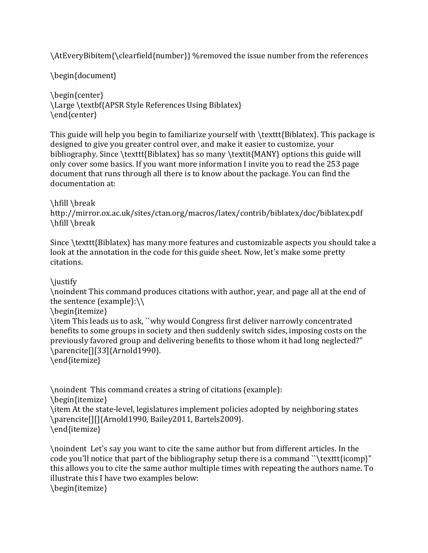\AtEveryBibitem{\clearfield{number}} %removed the issue number from the references

\begin{document}

\begin{center} \Large \textbf{APSR Style References Using Biblatex} \end{center}

This guide will help you begin to familiarize yourself with  $\text{Biblatex}$ . This package is designed to give you greater control over, and make it easier to customize, your bibliography. Since \texttt{Biblatex} has so many \textit{MANY} options this guide will only cover some basics. If you want more information I invite you to read the 253 page document that runs through all there is to know about the package. You can find the documentation at:

\hfill \break

http://mirror.ox.ac.uk/sites/ctan.org/macros/latex/contrib/biblatex/doc/biblatex.pdf \hfill \break

Since \texttt{Biblatex} has many more features and customizable aspects you should take a look at the annotation in the code for this guide sheet. Now, let's make some pretty citations.

\justify 

\noindent This command produces citations with author, year, and page all at the end of the sentence (example): $\setminus \setminus$ 

\begin{itemize}

\item This leads us to ask, ``why would Congress first deliver narrowly concentrated benefits to some groups in society and then suddenly switch sides, imposing costs on the previously favored group and delivering benefits to those whom it had long neglected?" \parencite[][33]{Arnold1990}.

\end{itemize}

\noindent This command creates a string of citations (example): \begin{itemize} \item At the state-level, legislatures implement policies adopted by neighboring states \parencite[][]{Arnold1990, Bailey2011, Bartels2009}. \end{itemize}

\noindent Let's say you want to cite the same author but from different articles. In the code you'll notice that part of the bibliography setup there is a command "\texttt{icomp}" this allows you to cite the same author multiple times with repeating the authors name. To illustrate this I have two examples below: \begin{itemize}